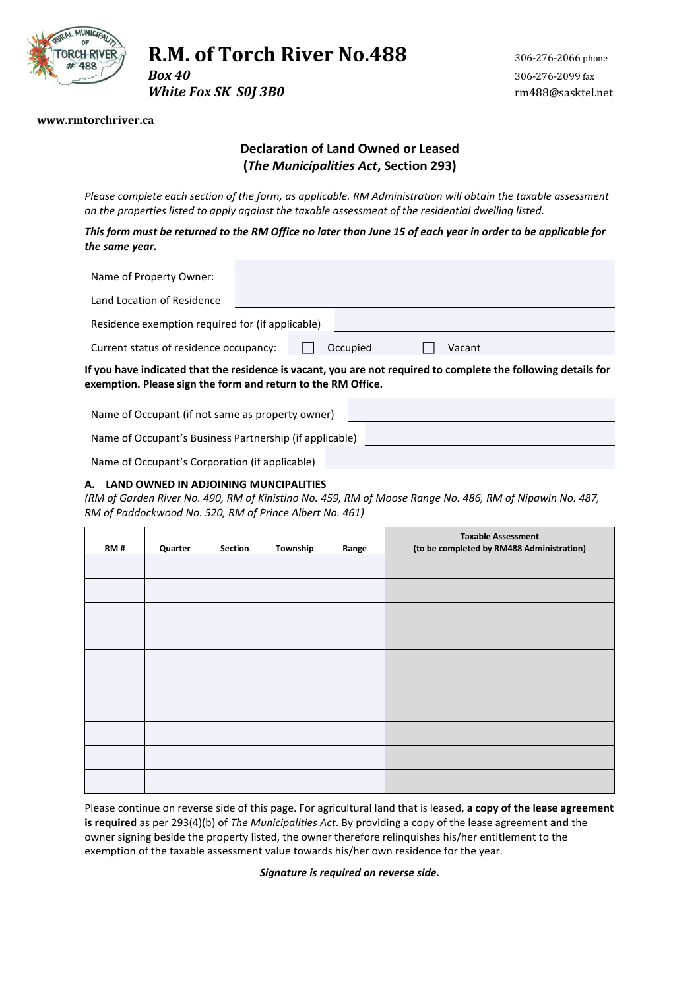

# **R.M. of Torch River No.488** 306-276-2066 phone

*White Fox SK S0J 3B0 m488@sasktel.net* 

#### **www.rmtorchriver.ca**

# **Declaration of Land Owned or Leased (***The Municipalities Act***, Section 293)**

*Please complete each section of the form, as applicable. RM Administration will obtain the taxable assessment on the properties listed to apply against the taxable assessment of the residential dwelling listed.* 

*This form must be returned to the RM Office no later than June 15 of each year in order to be applicable for the same year.*

| Name of Property Owner:                                                                                                                                                        |  |  |          |  |        |  |  |
|--------------------------------------------------------------------------------------------------------------------------------------------------------------------------------|--|--|----------|--|--------|--|--|
| Land Location of Residence                                                                                                                                                     |  |  |          |  |        |  |  |
| Residence exemption required for (if applicable)                                                                                                                               |  |  |          |  |        |  |  |
| Current status of residence occupancy:                                                                                                                                         |  |  | Occupied |  | Vacant |  |  |
| If you have indicated that the residence is vacant, you are not required to complete the following details for<br>exemption. Please sign the form and return to the RM Office. |  |  |          |  |        |  |  |

Name of Occupant (if not same as property owner)

Name of Occupant's Business Partnership (if applicable)

Name of Occupant's Corporation (if applicable)

#### **A. LAND OWNED IN ADJOINING MUNCIPALITIES**

*(RM of Garden River No. 490, RM of Kinistino No. 459, RM of Moose Range No. 486, RM of Nipawin No. 487, RM of Paddockwood No. 520, RM of Prince Albert No. 461)*

| RM# | Quarter | Section | Township | Range | <b>Taxable Assessment</b><br>(to be completed by RM488 Administration) |
|-----|---------|---------|----------|-------|------------------------------------------------------------------------|
|     |         |         |          |       |                                                                        |
|     |         |         |          |       |                                                                        |
|     |         |         |          |       |                                                                        |
|     |         |         |          |       |                                                                        |
|     |         |         |          |       |                                                                        |
|     |         |         |          |       |                                                                        |
|     |         |         |          |       |                                                                        |
|     |         |         |          |       |                                                                        |
|     |         |         |          |       |                                                                        |
|     |         |         |          |       |                                                                        |

Please continue on reverse side of this page. For agricultural land that is leased, **a copy of the lease agreement is required** as per 293(4)(b) of *The Municipalities Act*. By providing a copy of the lease agreement **and** the owner signing beside the property listed, the owner therefore relinquishes his/her entitlement to the exemption of the taxable assessment value towards his/her own residence for the year.

*Signature is required on reverse side.*